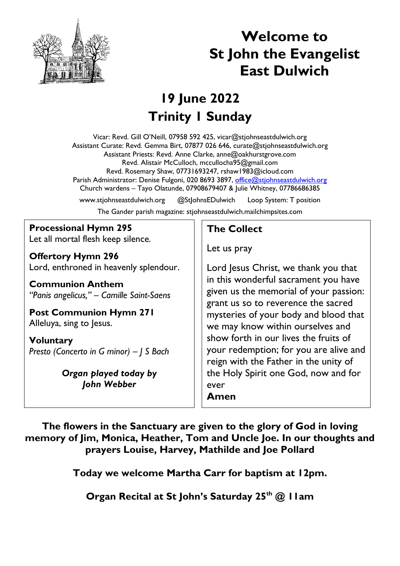

# **Welcome to St John the Evangelist East Dulwich**

## **19 June 2022 Trinity 1 Sunday**

Vicar: Revd. Gill O'Neill, 07958 592 425, vicar@stjohnseastdulwich.org Assistant Curate: Revd. Gemma Birt, 07877 026 646, curate@stjohnseastdulwich.org Assistant Priests: Revd. Anne Clarke, anne@oakhurstgrove.com Revd. Alistair McCulloch, mccullocha95@gmail.com Revd. Rosemary Shaw, 07731693247, rshaw1983@icloud.com Parish Administrator: Denise Fulgoni, 020 8693 3897, [office@stjohnseastdulwich.org](mailto:office@stjohnseastdulwich.org) Church wardens – Tayo Olatunde, 07908679407 & Julie Whitney, 07786686385

www.stjohnseastdulwich.org @StJohnsEDulwich Loop System: T position The Gander parish magazine: stjohnseastdulwich.mailchimpsites.com

## **Processional Hymn 295**

Let all mortal flesh keep silence.

**Offertory Hymn 296** Lord, enthroned in heavenly splendour.

**Communion Anthem** *"Panis angelicus," – Camille Saint-Saens*

**Post Communion Hymn 271** Alleluya, sing to Jesus.

**Voluntary** *Presto (Concerto in G minor) – J S Bach*

> *Organ played today by John Webber*

## **The Collect**

Let us pray

Lord Jesus Christ, we thank you that in this wonderful sacrament you have given us the memorial of your passion: grant us so to reverence the sacred mysteries of your body and blood that we may know within ourselves and show forth in our lives the fruits of your redemption; for you are alive and reign with the Father in the unity of the Holy Spirit one God, now and for ever **Amen**

**The flowers in the Sanctuary are given to the glory of God in loving memory of Jim, Monica, Heather, Tom and Uncle Joe. In our thoughts and prayers Louise, Harvey, Mathilde and Joe Pollard**

**Today we welcome Martha Carr for baptism at 12pm.**

**Organ Recital at St John's Saturday 25th @ 11am**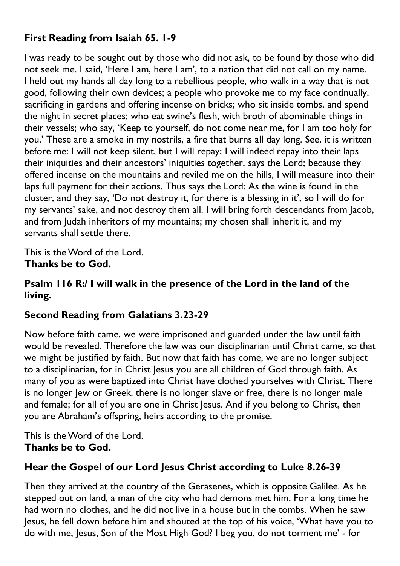## **First Reading from Isaiah 65. 1-9**

I was ready to be sought out by those who did not ask, to be found by those who did not seek me. I said, 'Here I am, here I am', to a nation that did not call on my name. I held out my hands all day long to a rebellious people, who walk in a way that is not good, following their own devices; a people who provoke me to my face continually, sacrificing in gardens and offering incense on bricks; who sit inside tombs, and spend the night in secret places; who eat swine's flesh, with broth of abominable things in their vessels; who say, 'Keep to yourself, do not come near me, for I am too holy for you.' These are a smoke in my nostrils, a fire that burns all day long. See, it is written before me: I will not keep silent, but I will repay; I will indeed repay into their laps their iniquities and their ancestors' iniquities together, says the Lord; because they offered incense on the mountains and reviled me on the hills, I will measure into their laps full payment for their actions. Thus says the Lord: As the wine is found in the cluster, and they say, 'Do not destroy it, for there is a blessing in it', so I will do for my servants' sake, and not destroy them all. I will bring forth descendants from Jacob, and from Judah inheritors of my mountains; my chosen shall inherit it, and my servants shall settle there.

This is the Word of the Lord. **Thanks be to God.**

#### **Psalm 116 R:/ I will walk in the presence of the Lord in the land of the living.**

## **Second Reading from Galatians 3.23-29**

Now before faith came, we were imprisoned and guarded under the law until faith would be revealed. Therefore the law was our disciplinarian until Christ came, so that we might be justified by faith. But now that faith has come, we are no longer subject to a disciplinarian, for in Christ Jesus you are all children of God through faith. As many of you as were baptized into Christ have clothed yourselves with Christ. There is no longer Jew or Greek, there is no longer slave or free, there is no longer male and female; for all of you are one in Christ Jesus. And if you belong to Christ, then you are Abraham's offspring, heirs according to the promise.

This is the Word of the Lord. **Thanks be to God.**

## **Hear the Gospel of our Lord Jesus Christ according to Luke 8.26-39**

Then they arrived at the country of the Gerasenes, which is opposite Galilee. As he stepped out on land, a man of the city who had demons met him. For a long time he had worn no clothes, and he did not live in a house but in the tombs. When he saw Jesus, he fell down before him and shouted at the top of his voice, 'What have you to do with me, Jesus, Son of the Most High God? I beg you, do not torment me' - for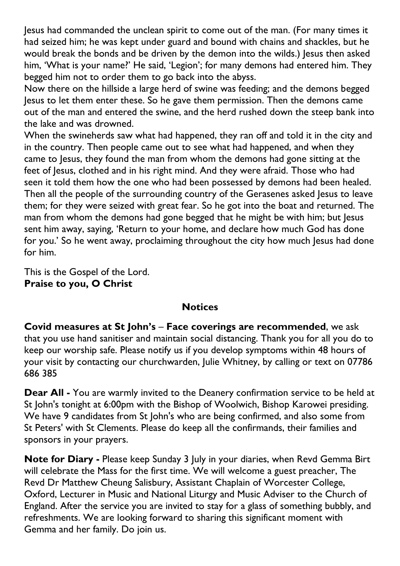Jesus had commanded the unclean spirit to come out of the man. (For many times it had seized him; he was kept under guard and bound with chains and shackles, but he would break the bonds and be driven by the demon into the wilds.) Jesus then asked him, 'What is your name?' He said, 'Legion'; for many demons had entered him. They begged him not to order them to go back into the abyss.

Now there on the hillside a large herd of swine was feeding; and the demons begged Jesus to let them enter these. So he gave them permission. Then the demons came out of the man and entered the swine, and the herd rushed down the steep bank into the lake and was drowned.

When the swineherds saw what had happened, they ran off and told it in the city and in the country. Then people came out to see what had happened, and when they came to Jesus, they found the man from whom the demons had gone sitting at the feet of Jesus, clothed and in his right mind. And they were afraid. Those who had seen it told them how the one who had been possessed by demons had been healed. Then all the people of the surrounding country of the Gerasenes asked Jesus to leave them; for they were seized with great fear. So he got into the boat and returned. The man from whom the demons had gone begged that he might be with him; but Jesus sent him away, saying, 'Return to your home, and declare how much God has done for you.' So he went away, proclaiming throughout the city how much Jesus had done for him.

This is the Gospel of the Lord. **Praise to you, O Christ**

#### **Notices**

**Covid measures at St John's** – **Face coverings are recommended**, we ask that you use hand sanitiser and maintain social distancing. Thank you for all you do to keep our worship safe. Please notify us if you develop symptoms within 48 hours of your visit by contacting our churchwarden, Julie Whitney, by calling or text on 07786 686 385

**Dear All -** You are warmly invited to the Deanery confirmation service to be held at St John's tonight at 6:00pm with the Bishop of Woolwich, Bishop Karowei presiding. We have 9 candidates from St John's who are being confirmed, and also some from St Peters' with St Clements. Please do keep all the confirmands, their families and sponsors in your prayers.

**Note for Diary -** Please keep Sunday 3 July in your diaries, when Revd Gemma Birt will celebrate the Mass for the first time. We will welcome a guest preacher, The Revd Dr Matthew Cheung Salisbury, Assistant Chaplain of Worcester College, Oxford, Lecturer in Music and National Liturgy and Music Adviser to the Church of England. After the service you are invited to stay for a glass of something bubbly, and refreshments. We are looking forward to sharing this significant moment with Gemma and her family. Do join us.